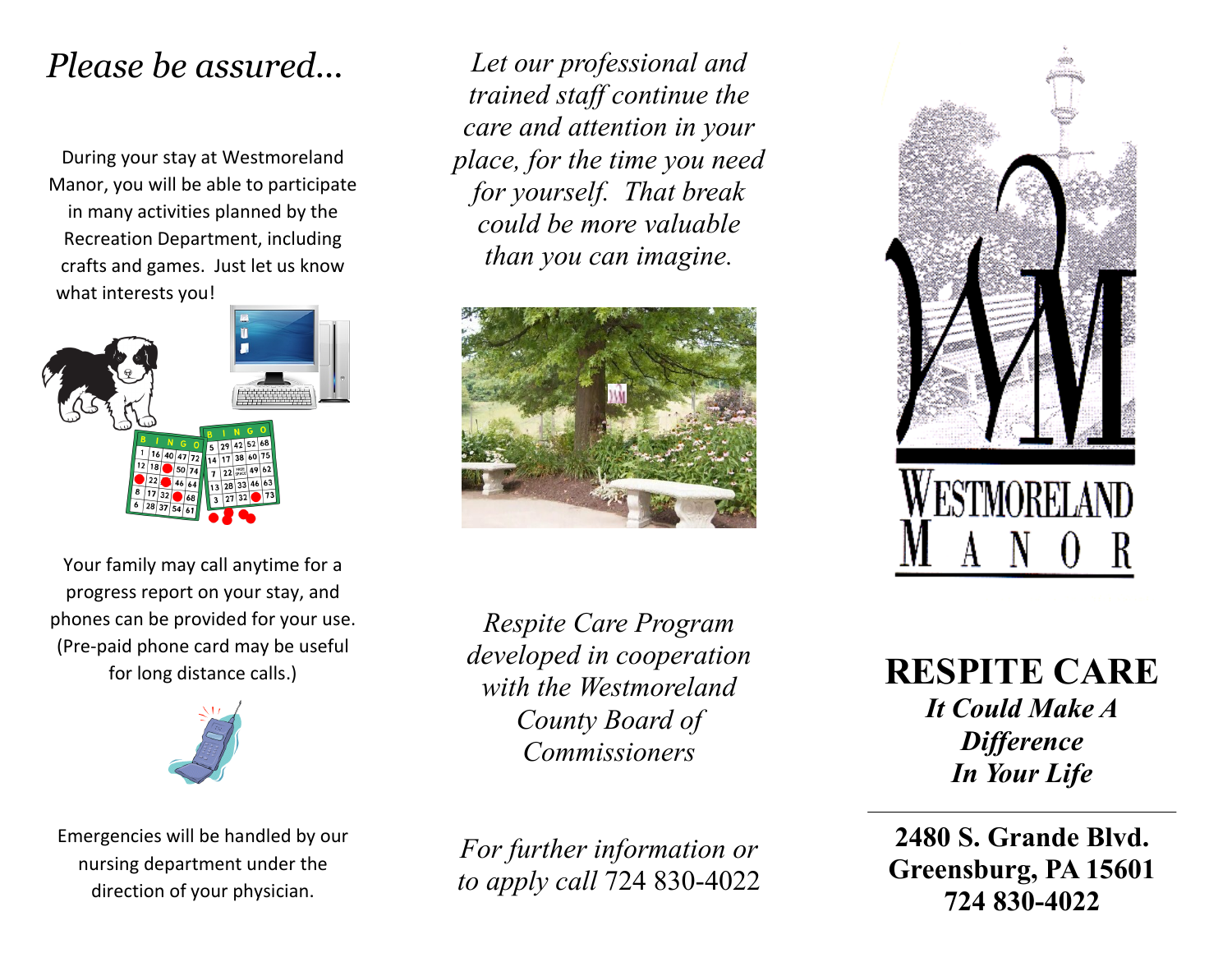During your stay at Westmoreland Manor, you will be able to participate in many activities planned by the Recreation Department, including crafts and games. Just let us know what interests you!



Your family may call anytime for a progress report on your stay, and phones can be provided for your use. (Pre-paid phone card may be useful for long distance calls.)



Emergencies will be handled by our nursing department under the direction of your physician.

*Please be assured... Let our professional and trained staff continue the care and attention in your place, for the time you need for yourself. That break could be more valuable than you can imagine.*



*Respite Care Program developed in cooperation with the Westmoreland County Board of Commissioners*

*For further information or to apply call* 724 830-4022



**RESPITE CARE** *It Could Make A Difference In Your Life*

**2480 S. Grande Blvd. Greensburg, PA 15601 724 830-4022**